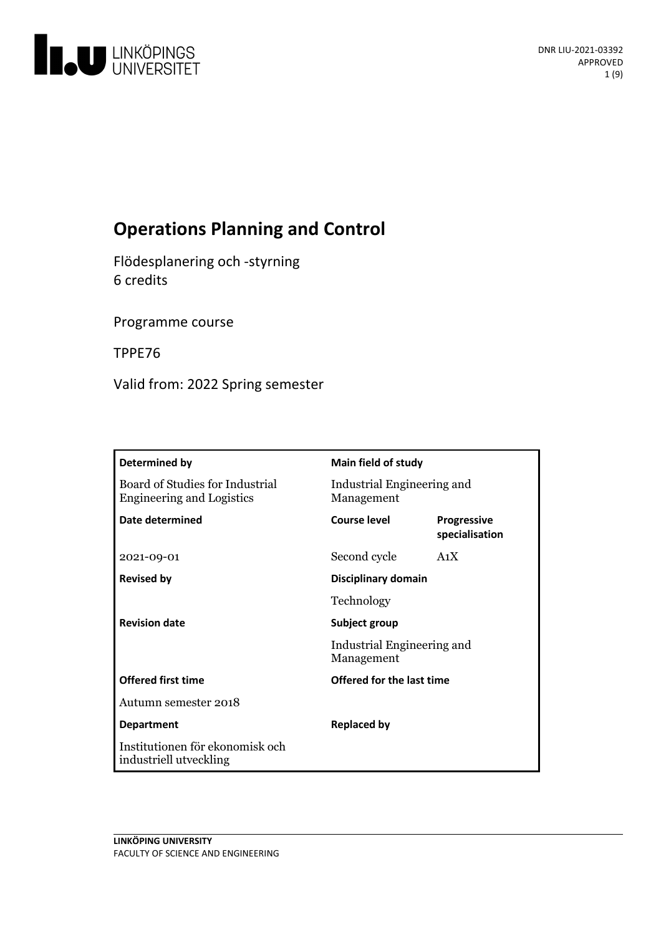

# **Operations Planning and Control**

Flödesplanering och -styrning 6 credits

Programme course

TPPE76

Valid from: 2022 Spring semester

| Determined by                                                       | Main field of study                      |                                      |
|---------------------------------------------------------------------|------------------------------------------|--------------------------------------|
| Board of Studies for Industrial<br><b>Engineering and Logistics</b> | Industrial Engineering and<br>Management |                                      |
| Date determined                                                     | Course level                             | <b>Progressive</b><br>specialisation |
| 2021-09-01                                                          | Second cycle                             | A <sub>1</sub> X                     |
| <b>Revised by</b>                                                   | Disciplinary domain                      |                                      |
|                                                                     | Technology                               |                                      |
| <b>Revision date</b>                                                | Subject group                            |                                      |
|                                                                     | Industrial Engineering and<br>Management |                                      |
| <b>Offered first time</b>                                           | Offered for the last time                |                                      |
| Autumn semester 2018                                                |                                          |                                      |
| <b>Department</b>                                                   | <b>Replaced by</b>                       |                                      |
| Institutionen för ekonomisk och<br>industriell utveckling           |                                          |                                      |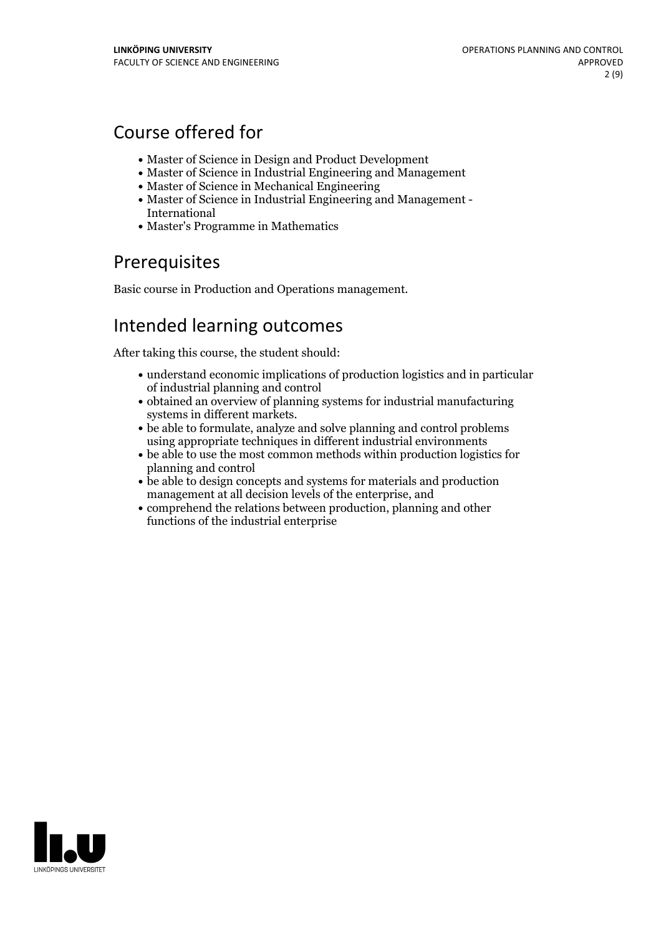# Course offered for

- Master of Science in Design and Product Development
- Master of Science in Industrial Engineering and Management
- Master of Science in Mechanical Engineering
- Master of Science in Industrial Engineering and Management International
- Master's Programme in Mathematics

## Prerequisites

Basic course in Production and Operations management.

# Intended learning outcomes

After taking this course, the student should:

- understand economic implications of production logistics and in particular of industrial planning and control
- obtained an overview of planning systems for industrial manufacturing
- systems in different markets.<br>• be able to formulate, analyze and solve planning and control problems using appropriate techniques in different industrial environments
- be able to use the most common methods within production logistics for planning and control
- be able to design concepts and systems for materials and production management at all decision levels of the enterprise, and
- comprehend the relations between production, planning and other functions of the industrial enterprise

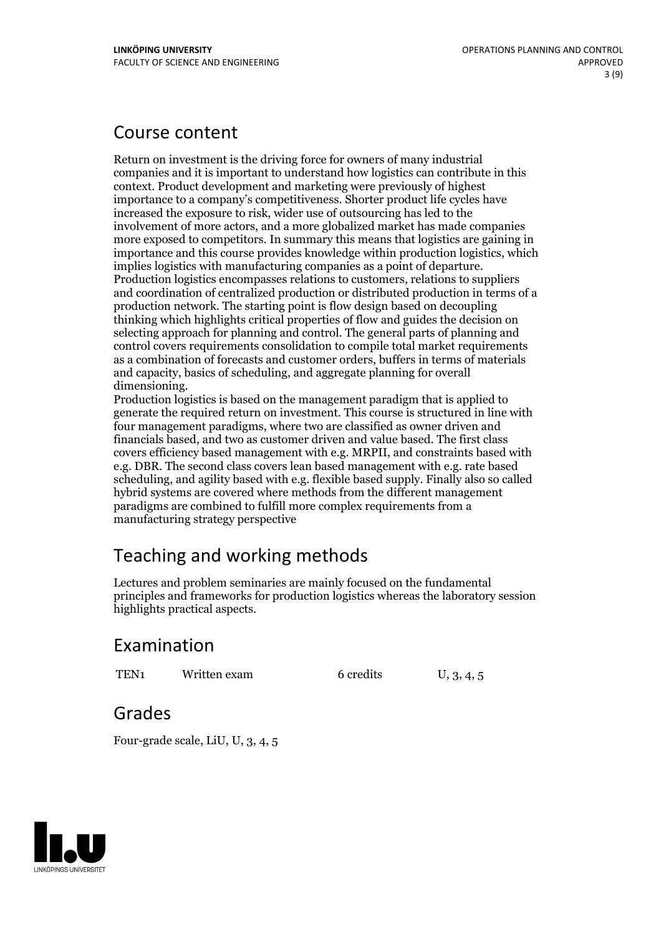## Course content

Return on investment is the driving force for owners of many industrial companies and it is important to understand how logistics can contribute in this context. Product development and marketing were previously of highest importance to a company's competitiveness. Shorter product life cycles have increased the exposure to risk, wider use of outsourcing has led to the involvement of more actors, and a more globalized market has made companies more exposed to competitors. In summary this means that logistics are gaining in importance and this course provides knowledge within production logistics, which implies logistics with manufacturing companies as <sup>a</sup> point of departure. Production logistics encompasses relations to customers, relations to suppliers and coordination of centralized production or distributed production in terms of a production network. The starting point is flow design based on decoupling thinking which highlights critical properties of flow and guides the decision on selecting approach for planning and control. The general parts of planning and control covers requirements consolidation to compile total market requirements as a combination of forecasts and customer orders, buffers in terms of materials and capacity, basics of scheduling, and aggregate planning for overall dimensioning.<br>Production logistics is based on the management paradigm that is applied to

generate the required return on investment. This course is structured in line with four management paradigms, where two are classified as owner driven and financials based, and two as customer driven and value based. The first class covers efficiency based management with e.g. MRPII, and constraints based with e.g. DBR. The second class covers lean based management with e.g. rate based scheduling, and agility based with e.g. flexible based supply. Finally also so called hybrid systems are covered where methods from the different management paradigms are combined to fulfill more complex requirements from a manufacturing strategy perspective

# Teaching and working methods

Lectures and problem seminaries are mainly focused on the fundamental principles and frameworks for production logistics whereas the laboratory session highlights practical aspects.

## Examination

TEN<sub>1</sub> Written exam 6 credits U, 3, 4, 5

## Grades

Four-grade scale, LiU, U, 3, 4, 5

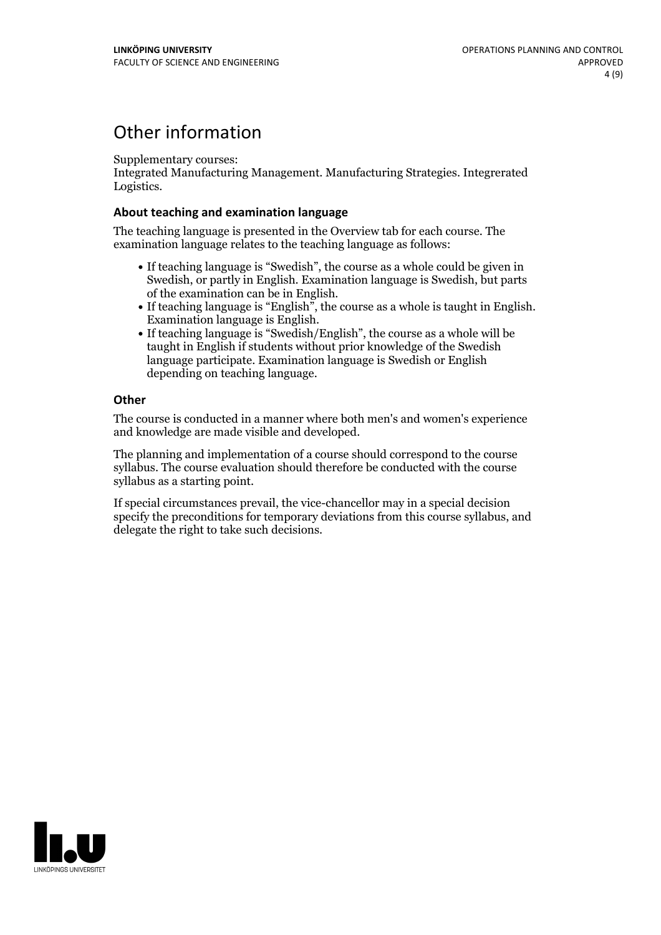## Other information

Supplementary courses:

Integrated Manufacturing Management. Manufacturing Strategies. Integrerated Logistics.

### **About teaching and examination language**

The teaching language is presented in the Overview tab for each course. The examination language relates to the teaching language as follows:

- If teaching language is "Swedish", the course as a whole could be given in Swedish, or partly in English. Examination language is Swedish, but parts
- of the examination can be in English. If teaching language is "English", the course as <sup>a</sup> whole is taught in English. Examination language is English. If teaching language is "Swedish/English", the course as <sup>a</sup> whole will be
- taught in English if students without prior knowledge of the Swedish language participate. Examination language is Swedish or English depending on teaching language.

### **Other**

The course is conducted in a manner where both men's and women's experience and knowledge are made visible and developed.

The planning and implementation of a course should correspond to the course syllabus. The course evaluation should therefore be conducted with the course syllabus as a starting point.

If special circumstances prevail, the vice-chancellor may in a special decision specify the preconditions for temporary deviations from this course syllabus, and delegate the right to take such decisions.

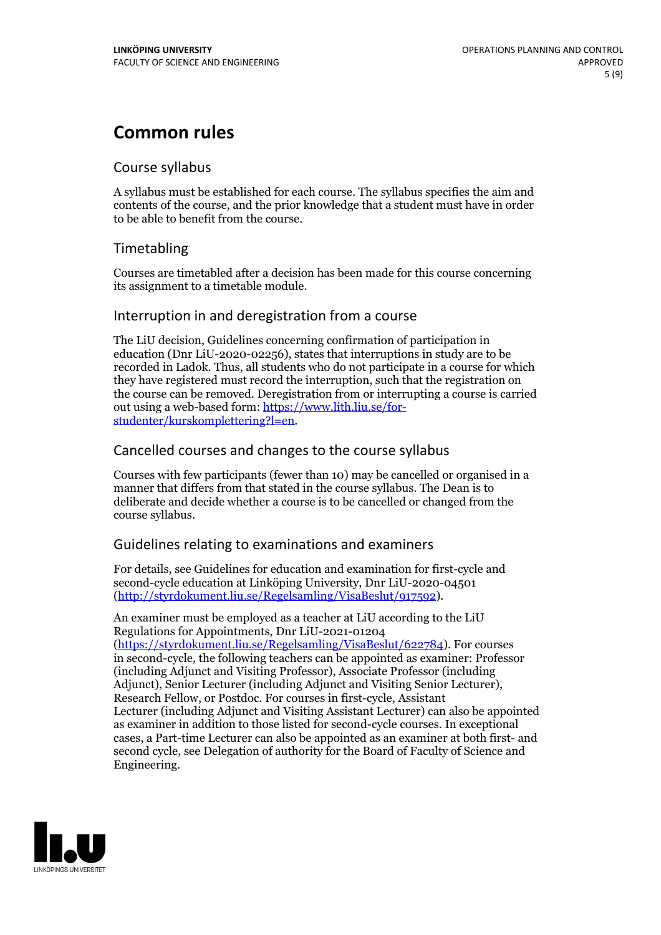# **Common rules**

## Course syllabus

A syllabus must be established for each course. The syllabus specifies the aim and contents of the course, and the prior knowledge that a student must have in order to be able to benefit from the course.

## Timetabling

Courses are timetabled after a decision has been made for this course concerning its assignment to a timetable module.

## Interruption in and deregistration from a course

The LiU decision, Guidelines concerning confirmation of participation in education (Dnr LiU-2020-02256), states that interruptions in study are to be recorded in Ladok. Thus, all students who do not participate in a course for which they have registered must record the interruption, such that the registration on the course can be removed. Deregistration from or interrupting a course is carried out using <sup>a</sup> web-based form: https://www.lith.liu.se/for- [studenter/kurskomplettering?l=en.](https://www.lith.liu.se/for-studenter/kurskomplettering?l=en)

## Cancelled courses and changes to the course syllabus

Courses with few participants (fewer than 10) may be cancelled or organised in a manner that differs from that stated in the course syllabus. The Dean is to deliberate and decide whether a course is to be cancelled or changed from the course syllabus.

## Guidelines relating to examinations and examiners

For details, see Guidelines for education and examination for first-cycle and second-cycle education at Linköping University, Dnr LiU-2020-04501 [\(http://styrdokument.liu.se/Regelsamling/VisaBeslut/917592\)](http://styrdokument.liu.se/Regelsamling/VisaBeslut/917592).

An examiner must be employed as a teacher at LiU according to the LiU Regulations for Appointments, Dnr LiU-2021-01204 [\(https://styrdokument.liu.se/Regelsamling/VisaBeslut/622784](https://styrdokument.liu.se/Regelsamling/VisaBeslut/622784)). For courses in second-cycle, the following teachers can be appointed as examiner: Professor (including Adjunct and Visiting Professor), Associate Professor (including Adjunct), Senior Lecturer (including Adjunct and Visiting Senior Lecturer), Research Fellow, or Postdoc. For courses in first-cycle, Assistant Lecturer (including Adjunct and Visiting Assistant Lecturer) can also be appointed as examiner in addition to those listed for second-cycle courses. In exceptional cases, a Part-time Lecturer can also be appointed as an examiner at both first- and second cycle, see Delegation of authority for the Board of Faculty of Science and Engineering.

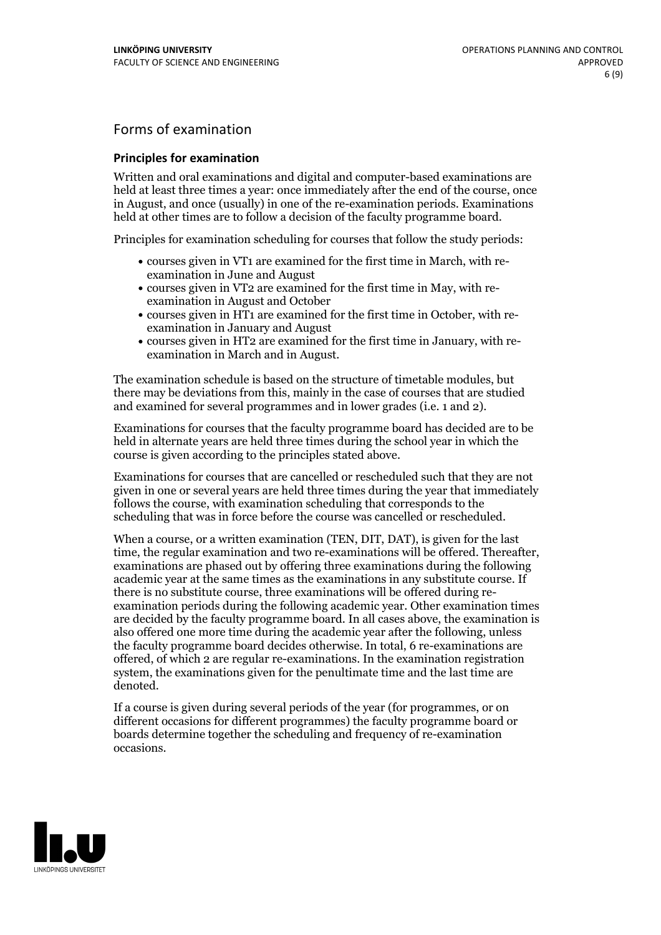## Forms of examination

#### **Principles for examination**

Written and oral examinations and digital and computer-based examinations are held at least three times a year: once immediately after the end of the course, once in August, and once (usually) in one of the re-examination periods. Examinations held at other times are to follow a decision of the faculty programme board.

Principles for examination scheduling for courses that follow the study periods:

- courses given in VT1 are examined for the first time in March, with re-examination in June and August
- courses given in VT2 are examined for the first time in May, with re-examination in August and October
- courses given in HT1 are examined for the first time in October, with re-examination in January and August
- courses given in HT2 are examined for the first time in January, with re-examination in March and in August.

The examination schedule is based on the structure of timetable modules, but there may be deviations from this, mainly in the case of courses that are studied and examined for several programmes and in lower grades (i.e. 1 and 2).

Examinations for courses that the faculty programme board has decided are to be held in alternate years are held three times during the school year in which the course is given according to the principles stated above.

Examinations for courses that are cancelled orrescheduled such that they are not given in one or several years are held three times during the year that immediately follows the course, with examination scheduling that corresponds to the scheduling that was in force before the course was cancelled or rescheduled.

When a course, or a written examination (TEN, DIT, DAT), is given for the last time, the regular examination and two re-examinations will be offered. Thereafter, examinations are phased out by offering three examinations during the following academic year at the same times as the examinations in any substitute course. If there is no substitute course, three examinations will be offered during re- examination periods during the following academic year. Other examination times are decided by the faculty programme board. In all cases above, the examination is also offered one more time during the academic year after the following, unless the faculty programme board decides otherwise. In total, 6 re-examinations are offered, of which 2 are regular re-examinations. In the examination registration system, the examinations given for the penultimate time and the last time are denoted.

If a course is given during several periods of the year (for programmes, or on different occasions for different programmes) the faculty programme board or boards determine together the scheduling and frequency of re-examination occasions.

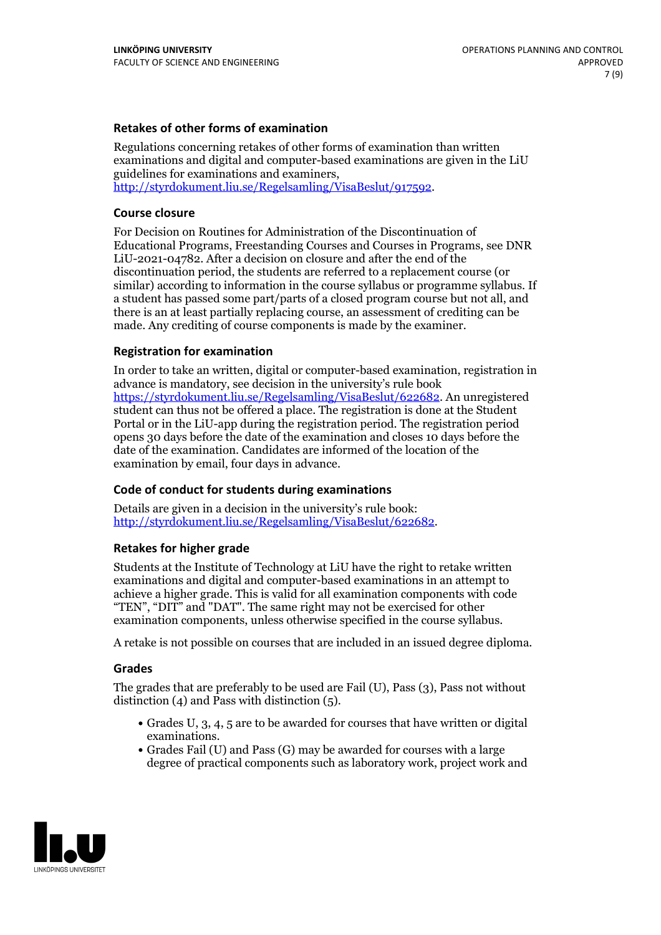### **Retakes of other forms of examination**

Regulations concerning retakes of other forms of examination than written examinations and digital and computer-based examinations are given in the LiU guidelines for examinations and examiners, [http://styrdokument.liu.se/Regelsamling/VisaBeslut/917592.](http://styrdokument.liu.se/Regelsamling/VisaBeslut/917592)

#### **Course closure**

For Decision on Routines for Administration of the Discontinuation of Educational Programs, Freestanding Courses and Courses in Programs, see DNR LiU-2021-04782. After a decision on closure and after the end of the discontinuation period, the students are referred to a replacement course (or similar) according to information in the course syllabus or programme syllabus. If a student has passed some part/parts of a closed program course but not all, and there is an at least partially replacing course, an assessment of crediting can be made. Any crediting of course components is made by the examiner.

### **Registration for examination**

In order to take an written, digital or computer-based examination, registration in advance is mandatory, see decision in the university's rule book [https://styrdokument.liu.se/Regelsamling/VisaBeslut/622682.](https://styrdokument.liu.se/Regelsamling/VisaBeslut/622682) An unregistered student can thus not be offered a place. The registration is done at the Student Portal or in the LiU-app during the registration period. The registration period opens 30 days before the date of the examination and closes 10 days before the date of the examination. Candidates are informed of the location of the examination by email, four days in advance.

## **Code of conduct for students during examinations**

Details are given in a decision in the university's rule book: <http://styrdokument.liu.se/Regelsamling/VisaBeslut/622682>.

#### **Retakes for higher grade**

Students at the Institute of Technology at LiU have the right to retake written examinations and digital and computer-based examinations in an attempt to achieve a higher grade. This is valid for all examination components with code "TEN", "DIT" and "DAT". The same right may not be exercised for other examination components, unless otherwise specified in the course syllabus.

A retake is not possible on courses that are included in an issued degree diploma.

#### **Grades**

The grades that are preferably to be used are Fail (U), Pass (3), Pass not without distinction  $(4)$  and Pass with distinction  $(5)$ .

- Grades U, 3, 4, 5 are to be awarded for courses that have written or digital examinations.<br>• Grades Fail (U) and Pass (G) may be awarded for courses with a large
- degree of practical components such as laboratory work, project work and

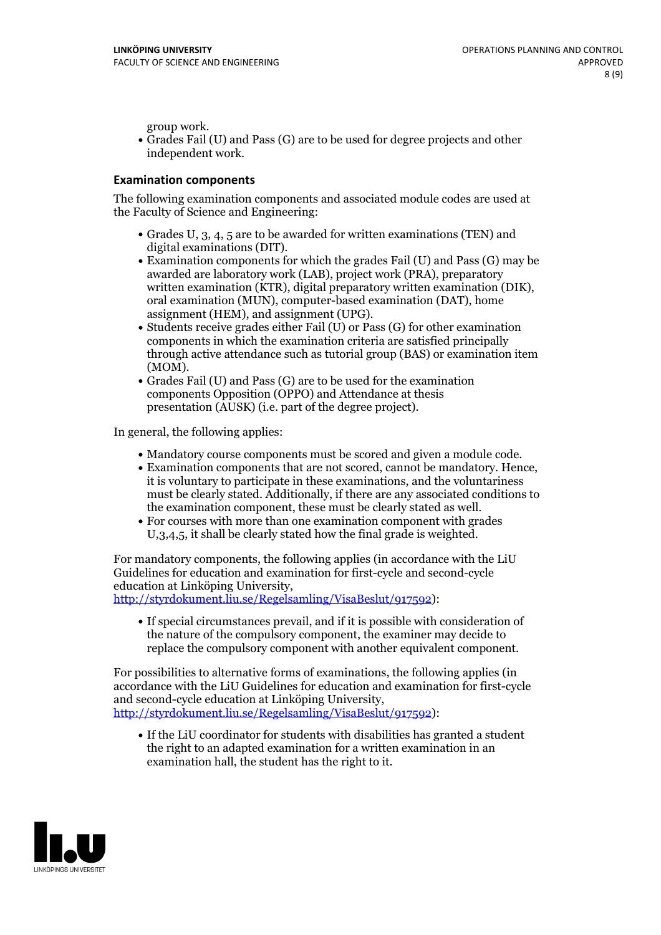group work.<br>• Grades Fail (U) and Pass (G) are to be used for degree projects and other independent work.

### **Examination components**

The following examination components and associated module codes are used at the Faculty of Science and Engineering:

- Grades U, 3, 4, 5 are to be awarded for written examinations (TEN) and
- digital examinations (DIT).<br>• Examination components for which the grades Fail (U) and Pass (G) may be awarded are laboratory work (LAB), project work (PRA), preparatory written examination (KTR), digital preparatory written examination (DIK), oral examination (MUN), computer-based examination (DAT), home
- assignment (HEM), and assignment (UPG).<br>• Students receive grades either Fail (U) or Pass (G) for other examination components in which the examination criteria are satisfied principally through active attendance such as tutorial group (BAS) or examination item
- (MOM).<br>• Grades Fail (U) and Pass (G) are to be used for the examination components Opposition (OPPO) and Attendance at thesis presentation (AUSK) (i.e. part of the degree project).

In general, the following applies:

- 
- Mandatory course components must be scored and given <sup>a</sup> module code. Examination components that are not scored, cannot be mandatory. Hence, it is voluntary to participate in these examinations, and the voluntariness must be clearly stated. Additionally, if there are any associated conditions to
- the examination component, these must be clearly stated as well.<br>• For courses with more than one examination component with grades U,3,4,5, it shall be clearly stated how the final grade is weighted.

For mandatory components, the following applies (in accordance with the LiU Guidelines for education and examination for first-cycle and second-cycle education at Linköping University,<br>[http://styrdokument.liu.se/Regelsamling/VisaBeslut/917592\)](http://styrdokument.liu.se/Regelsamling/VisaBeslut/917592):

If special circumstances prevail, and if it is possible with consideration of the nature of the compulsory component, the examiner may decide to replace the compulsory component with another equivalent component.

For possibilities to alternative forms of examinations, the following applies (in accordance with the LiU Guidelines for education and examination for first-cycle [http://styrdokument.liu.se/Regelsamling/VisaBeslut/917592\)](http://styrdokument.liu.se/Regelsamling/VisaBeslut/917592):

If the LiU coordinator for students with disabilities has granted a student the right to an adapted examination for a written examination in an examination hall, the student has the right to it.